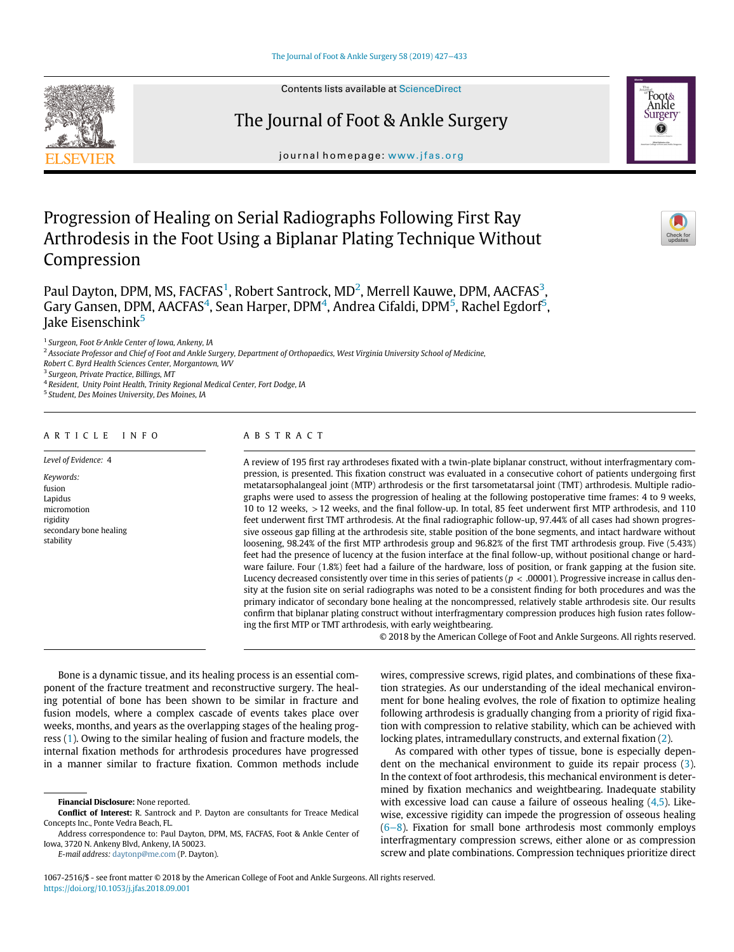# The Journal of Foot & Ankle Surgery

journal homepage: [www.jfas.org](http://www.jfas.org)

# Progression of Healing on Serial Radiographs Following First Ray Arthrodesis in the Foot Using a Biplanar Plating Technique Without Compression

Paul Dayton, DPM, MS, FACFAS $^1$  $^1$ , Robert Santrock, MD $^2$  $^2$ , Merrell Kauwe, DPM, AACFAS $^3$ , Gary Gansen, DPM, AACFAS<sup>[4](#page-0-3)</sup>, Sean Harper, DPM<sup>4</sup>, Andrea Cifaldi, DPM<sup>[5](#page-0-4)</sup>, Rachel Egdorf<sup>5</sup>, Jake Eisenschink<sup>[5](#page-0-4)</sup>

<span id="page-0-0"></span><sup>1</sup> Surgeon, Foot & Ankle Center of Iowa, Ankeny, IA

<span id="page-0-1"></span> $^2$  Associate Professor and Chief of Foot and Ankle Surgery, Department of Orthopaedics, West Virginia University School of Medicine,

<span id="page-0-2"></span>Robert C. Byrd Health Sciences Center, Morgantown, WV

<sup>3</sup> Surgeon, Private Practice, Billings, MT

<span id="page-0-3"></span><sup>4</sup> Resident, Unity Point Health, Trinity Regional Medical Center, Fort Dodge, IA

<span id="page-0-4"></span><sup>5</sup> Student, Des Moines University, Des Moines, IA

### ARTICLE INFO ABSTRACT

Level of Evidence: 4

Keywords: fusion Lapidus micromotion rigidity secondary bone healing stability

A review of 195 first ray arthrodeses fixated with a twin-plate biplanar construct, without interfragmentary compression, is presented. This fixation construct was evaluated in a consecutive cohort of patients undergoing first metatarsophalangeal joint (MTP) arthrodesis or the first tarsometatarsal joint (TMT) arthrodesis. Multiple radiographs were used to assess the progression of healing at the following postoperative time frames: 4 to 9 weeks, 10 to 12 weeks, >12 weeks, and the final follow-up. In total, 85 feet underwent first MTP arthrodesis, and 110 feet underwent first TMT arthrodesis. At the final radiographic follow-up, 97.44% of all cases had shown progressive osseous gap filling at the arthrodesis site, stable position of the bone segments, and intact hardware without loosening, 98.24% of the first MTP arthrodesis group and 96.82% of the first TMT arthrodesis group. Five (5.43%) feet had the presence of lucency at the fusion interface at the final follow-up, without positional change or hardware failure. Four (1.8%) feet had a failure of the hardware, loss of position, or frank gapping at the fusion site. Lucency decreased consistently over time in this series of patients ( $p < .00001$ ). Progressive increase in callus density at the fusion site on serial radiographs was noted to be a consistent finding for both procedures and was the primary indicator of secondary bone healing at the noncompressed, relatively stable arthrodesis site. Our results confirm that biplanar plating construct without interfragmentary compression produces high fusion rates following the first MTP or TMT arthrodesis, with early weightbearing.

© 2018 by the American College of Foot and Ankle Surgeons. All rights reserved.

Bone is a dynamic tissue, and its healing process is an essential component of the fracture treatment and reconstructive surgery. The healing potential of bone has been shown to be similar in fracture and fusion models, where a complex cascade of events takes place over weeks, months, and years as the overlapping stages of the healing progress [\(1\)](#page-5-0). Owing to the similar healing of fusion and fracture models, the internal fixation methods for arthrodesis procedures have progressed in a manner similar to fracture fixation. Common methods include

E-mail address: [daytonp@me.com](mailto:daytonp@me.com) (P. Dayton).

wires, compressive screws, rigid plates, and combinations of these fixation strategies. As our understanding of the ideal mechanical environment for bone healing evolves, the role of fixation to optimize healing following arthrodesis is gradually changing from a priority of rigid fixation with compression to relative stability, which can be achieved with locking plates, intramedullary constructs, and external fixation ([2](#page-5-1)).

As compared with other types of tissue, bone is especially dependent on the mechanical environment to guide its repair process ([3](#page-5-2)). In the context of foot arthrodesis, this mechanical environment is determined by fixation mechanics and weightbearing. Inadequate stability with excessive load can cause a failure of osseous healing  $(4,5)$  $(4,5)$ . Likewise, excessive rigidity can impede the progression of osseous healing (6[−](#page-5-4)8). Fixation for small bone arthrodesis most commonly employs interfragmentary compression screws, either alone or as compression screw and plate combinations. Compression techniques prioritize direct

1067-2516/\$ - see front matter © 2018 by the American College of Foot and Ankle Surgeons. All rights reserved. <https://doi.org/10.1053/j.jfas.2018.09.001>







Financial Disclosure: None reported.

Conflict of Interest: R. Santrock and P. Dayton are consultants for Treace Medical Concepts Inc., Ponte Vedra Beach, FL.

Address correspondence to: Paul Dayton, DPM, MS, FACFAS, Foot & Ankle Center of Iowa, 3720 N. Ankeny Blvd, Ankeny, IA 50023.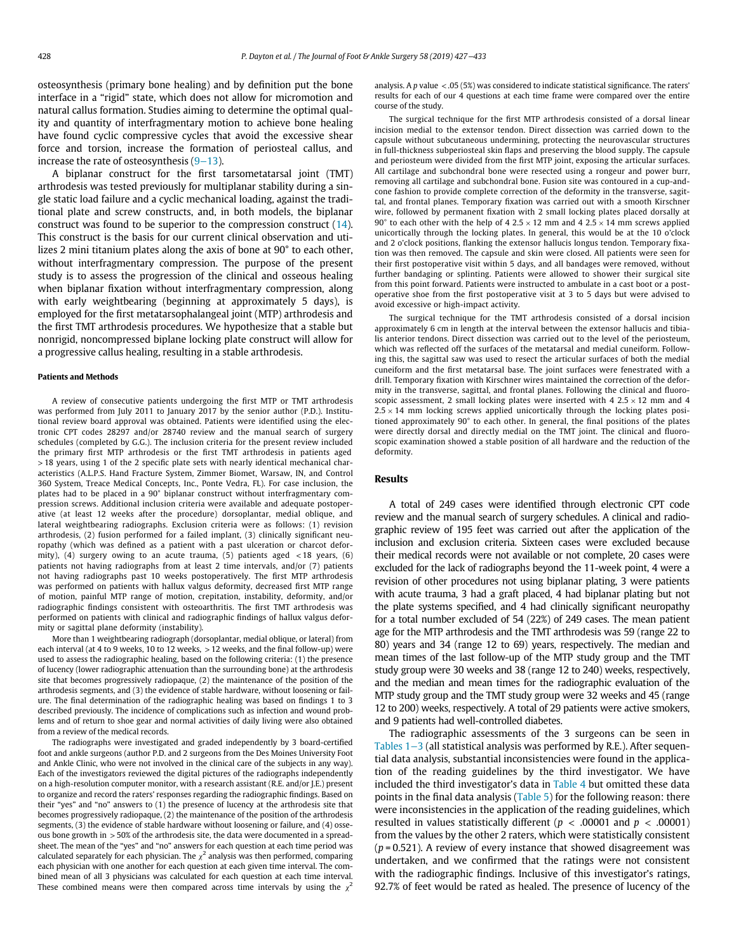osteosynthesis (primary bone healing) and by definition put the bone interface in a "rigid" state, which does not allow for micromotion and natural callus formation. Studies aiming to determine the optimal quality and quantity of interfragmentary motion to achieve bone healing have found cyclic compressive cycles that avoid the excessive shear force and torsion, increase the formation of periosteal callus, and increase the rate of osteosynthesis (9−[13](#page-6-0)).

A biplanar construct for the first tarsometatarsal joint (TMT) arthrodesis was tested previously for multiplanar stability during a single static load failure and a cyclic mechanical loading, against the traditional plate and screw constructs, and, in both models, the biplanar construct was found to be superior to the compression construct [\(14](#page-6-1)). This construct is the basis for our current clinical observation and utilizes 2 mini titanium plates along the axis of bone at 90° to each other, without interfragmentary compression. The purpose of the present study is to assess the progression of the clinical and osseous healing when biplanar fixation without interfragmentary compression, along with early weightbearing (beginning at approximately 5 days), is employed for the first metatarsophalangeal joint (MTP) arthrodesis and the first TMT arthrodesis procedures. We hypothesize that a stable but nonrigid, noncompressed biplane locking plate construct will allow for a progressive callus healing, resulting in a stable arthrodesis.

#### Patients and Methods

A review of consecutive patients undergoing the first MTP or TMT arthrodesis was performed from July 2011 to January 2017 by the senior author (P.D.). Institutional review board approval was obtained. Patients were identified using the electronic CPT codes 28297 and/or 28740 review and the manual search of surgery schedules (completed by G.G.). The inclusion criteria for the present review included the primary first MTP arthrodesis or the first TMT arthrodesis in patients aged > 18 years, using 1 of the 2 specific plate sets with nearly identical mechanical characteristics (A.L.P.S. Hand Fracture System, Zimmer Biomet, Warsaw, IN, and Control 360 System, Treace Medical Concepts, Inc., Ponte Vedra, FL). For case inclusion, the plates had to be placed in a 90° biplanar construct without interfragmentary compression screws. Additional inclusion criteria were available and adequate postoperative (at least 12 weeks after the procedure) dorsoplantar, medial oblique, and lateral weightbearing radiographs. Exclusion criteria were as follows: (1) revision arthrodesis, (2) fusion performed for a failed implant, (3) clinically significant neuropathy (which was defined as a patient with a past ulceration or charcot deformity), (4) surgery owing to an acute trauma, (5) patients aged  $\langle 18 \rangle$  years, (6) patients not having radiographs from at least 2 time intervals, and/or (7) patients not having radiographs past 10 weeks postoperatively. The first MTP arthrodesis was performed on patients with hallux valgus deformity, decreased first MTP range of motion, painful MTP range of motion, crepitation, instability, deformity, and/or radiographic findings consistent with osteoarthritis. The first TMT arthrodesis was performed on patients with clinical and radiographic findings of hallux valgus deformity or sagittal plane deformity (instability).

More than 1 weightbearing radiograph (dorsoplantar, medial oblique, or lateral) from each interval (at 4 to 9 weeks, 10 to 12 weeks,  $>$  12 weeks, and the final follow-up) were used to assess the radiographic healing, based on the following criteria: (1) the presence of lucency (lower radiographic attenuation than the surrounding bone) at the arthrodesis site that becomes progressively radiopaque, (2) the maintenance of the position of the arthrodesis segments, and (3) the evidence of stable hardware, without loosening or failure. The final determination of the radiographic healing was based on findings 1 to 3 described previously. The incidence of complications such as infection and wound problems and of return to shoe gear and normal activities of daily living were also obtained from a review of the medical records.

The radiographs were investigated and graded independently by 3 board-certified foot and ankle surgeons (author P.D. and 2 surgeons from the Des Moines University Foot and Ankle Clinic, who were not involved in the clinical care of the subjects in any way). Each of the investigators reviewed the digital pictures of the radiographs independently on a high-resolution computer monitor, with a research assistant (R.E. and/or J.E.) present to organize and record the raters' responses regarding the radiographic findings. Based on their "yes" and "no" answers to (1) the presence of lucency at the arthrodesis site that becomes progressively radiopaque, (2) the maintenance of the position of the arthrodesis segments, (3) the evidence of stable hardware without loosening or failure, and (4) osseous bone growth in  $>50\%$  of the arthrodesis site, the data were documented in a spreadsheet. The mean of the "yes" and "no" answers for each question at each time period was calculated separately for each physician. The  $\chi^2$  analysis was then performed, comparing each physician with one another for each question at each given time interval. The combined mean of all 3 physicians was calculated for each question at each time interval. These combined means were then compared across time intervals by using the  $\chi^2$ 

analysis. A  $p$  value <.05 (5%) was considered to indicate statistical significance. The raters' results for each of our 4 questions at each time frame were compared over the entire course of the study.

The surgical technique for the first MTP arthrodesis consisted of a dorsal linear incision medial to the extensor tendon. Direct dissection was carried down to the capsule without subcutaneous undermining, protecting the neurovascular structures in full-thickness subperiosteal skin flaps and preserving the blood supply. The capsule and periosteum were divided from the first MTP joint, exposing the articular surfaces. All cartilage and subchondral bone were resected using a rongeur and power burr, removing all cartilage and subchondral bone. Fusion site was contoured in a cup-andcone fashion to provide complete correction of the deformity in the transverse, sagittal, and frontal planes. Temporary fixation was carried out with a smooth Kirschner wire, followed by permanent fixation with 2 small locking plates placed dorsally at 90° to each other with the help of 4 2.5  $\times$  12 mm and 4 2.5  $\times$  14 mm screws applied unicortically through the locking plates. In general, this would be at the 10 o'clock and 2 o'clock positions, flanking the extensor hallucis longus tendon. Temporary fixation was then removed. The capsule and skin were closed. All patients were seen for their first postoperative visit within 5 days, and all bandages were removed, without further bandaging or splinting. Patients were allowed to shower their surgical site from this point forward. Patients were instructed to ambulate in a cast boot or a postoperative shoe from the first postoperative visit at 3 to 5 days but were advised to avoid excessive or high-impact activity.

The surgical technique for the TMT arthrodesis consisted of a dorsal incision approximately 6 cm in length at the interval between the extensor hallucis and tibialis anterior tendons. Direct dissection was carried out to the level of the periosteum, which was reflected off the surfaces of the metatarsal and medial cuneiform. Following this, the sagittal saw was used to resect the articular surfaces of both the medial cuneiform and the first metatarsal base. The joint surfaces were fenestrated with a drill. Temporary fixation with Kirschner wires maintained the correction of the deformity in the transverse, sagittal, and frontal planes. Following the clinical and fluoroscopic assessment, 2 small locking plates were inserted with  $4.2.5 \times 12$  mm and  $4.4$  $2.5 \times 14$  mm locking screws applied unicortically through the locking plates positioned approximately 90° to each other. In general, the final positions of the plates were directly dorsal and directly medial on the TMT joint. The clinical and fluoroscopic examination showed a stable position of all hardware and the reduction of the deformity.

#### Results

A total of 249 cases were identified through electronic CPT code review and the manual search of surgery schedules. A clinical and radiographic review of 195 feet was carried out after the application of the inclusion and exclusion criteria. Sixteen cases were excluded because their medical records were not available or not complete, 20 cases were excluded for the lack of radiographs beyond the 11-week point, 4 were a revision of other procedures not using biplanar plating, 3 were patients with acute trauma, 3 had a graft placed, 4 had biplanar plating but not the plate systems specified, and 4 had clinically significant neuropathy for a total number excluded of 54 (22%) of 249 cases. The mean patient age for the MTP arthrodesis and the TMT arthrodesis was 59 (range 22 to 80) years and 34 (range 12 to 69) years, respectively. The median and mean times of the last follow-up of the MTP study group and the TMT study group were 30 weeks and 38 (range 12 to 240) weeks, respectively, and the median and mean times for the radiographic evaluation of the MTP study group and the TMT study group were 32 weeks and 45 (range 12 to 200) weeks, respectively. A total of 29 patients were active smokers, and 9 patients had well-controlled diabetes.

The radiographic assessments of the 3 surgeons can be seen in [Tables 1](#page-2-0)−3 (all statistical analysis was performed by R.E.). After sequential data analysis, substantial inconsistencies were found in the application of the reading guidelines by the third investigator. We have included the third investigator's data in [Table 4](#page-3-0) but omitted these data points in the final data analysis [\(Table 5](#page-3-1)) for the following reason: there were inconsistencies in the application of the reading guidelines, which resulted in values statistically different ( $p < .00001$  and  $p < .00001$ ) from the values by the other 2 raters, which were statistically consistent  $(p = 0.521)$ . A review of every instance that showed disagreement was undertaken, and we confirmed that the ratings were not consistent with the radiographic findings. Inclusive of this investigator's ratings, 92.7% of feet would be rated as healed. The presence of lucency of the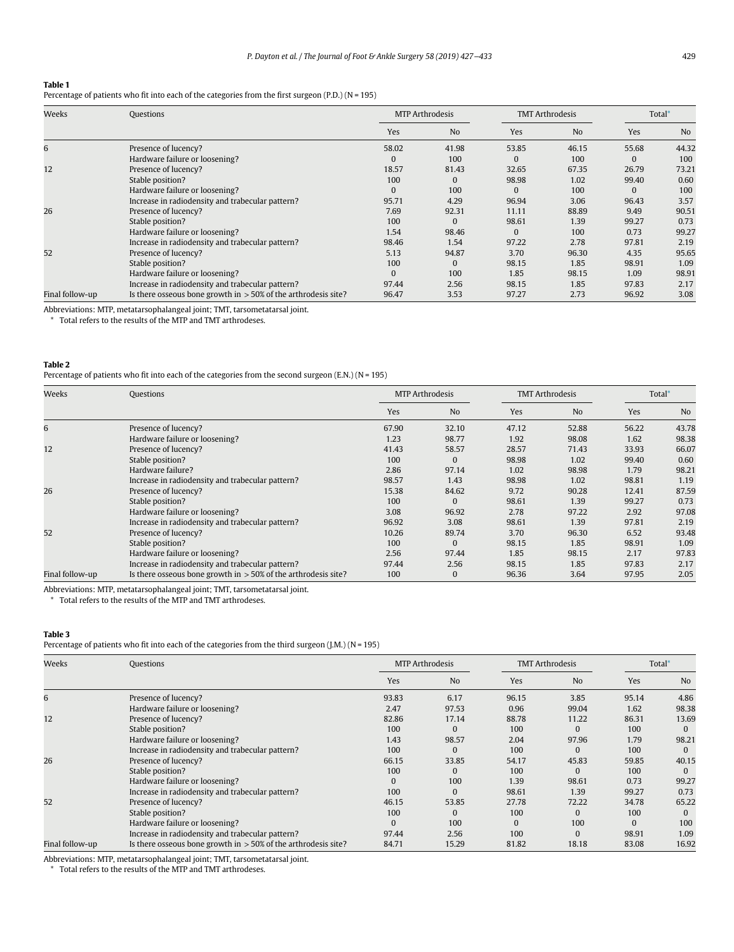### <span id="page-2-0"></span>Table 1

Percentage of patients who fit into each of the categories from the first surgeon (P.D.) (N = 195)

| Weeks           | Questions                                                        | <b>MTP Arthrodesis</b> |                | <b>TMT Arthrodesis</b> |                | Total*   |                |
|-----------------|------------------------------------------------------------------|------------------------|----------------|------------------------|----------------|----------|----------------|
|                 |                                                                  | Yes                    | N <sub>o</sub> | Yes                    | N <sub>o</sub> | Yes      | N <sub>o</sub> |
| 6               | Presence of lucency?                                             | 58.02                  | 41.98          | 53.85                  | 46.15          | 55.68    | 44.32          |
|                 | Hardware failure or loosening?                                   | $\Omega$               | 100            | $\Omega$               | 100            | $\Omega$ | 100            |
| 12              | Presence of lucency?                                             | 18.57                  | 81.43          | 32.65                  | 67.35          | 26.79    | 73.21          |
|                 | Stable position?                                                 | 100                    | $\Omega$       | 98.98                  | 1.02           | 99.40    | 0.60           |
|                 | Hardware failure or loosening?                                   | $\Omega$               | 100            | $\Omega$               | 100            | $\Omega$ | 100            |
|                 | Increase in radiodensity and trabecular pattern?                 | 95.71                  | 4.29           | 96.94                  | 3.06           | 96.43    | 3.57           |
| 26              | Presence of lucency?                                             | 7.69                   | 92.31          | 11.11                  | 88.89          | 9.49     | 90.51          |
|                 | Stable position?                                                 | 100                    | $\Omega$       | 98.61                  | 1.39           | 99.27    | 0.73           |
|                 | Hardware failure or loosening?                                   | 1.54                   | 98.46          | $\Omega$               | 100            | 0.73     | 99.27          |
|                 | Increase in radiodensity and trabecular pattern?                 | 98.46                  | 1.54           | 97.22                  | 2.78           | 97.81    | 2.19           |
| 52              | Presence of lucency?                                             | 5.13                   | 94.87          | 3.70                   | 96.30          | 4.35     | 95.65          |
|                 | Stable position?                                                 | 100                    | $\Omega$       | 98.15                  | 1.85           | 98.91    | 1.09           |
|                 | Hardware failure or loosening?                                   | $\Omega$               | 100            | 1.85                   | 98.15          | 1.09     | 98.91          |
|                 | Increase in radiodensity and trabecular pattern?                 | 97.44                  | 2.56           | 98.15                  | 1.85           | 97.83    | 2.17           |
| Final follow-up | Is there osseous bone growth in $>$ 50% of the arthrodesis site? | 96.47                  | 3.53           | 97.27                  | 2.73           | 96.92    | 3.08           |

<span id="page-2-1"></span>Abbreviations: MTP, metatarsophalangeal joint; TMT, tarsometatarsal joint.

\* Total refers to the results of the MTP and TMT arthrodeses.

# Table 2

Percentage of patients who fit into each of the categories from the second surgeon  $(EM.)$   $(N = 195)$ 

| Weeks           | Questions                                                        | <b>MTP Arthrodesis</b> |                | <b>TMT Arthrodesis</b> |                | Total* |                |
|-----------------|------------------------------------------------------------------|------------------------|----------------|------------------------|----------------|--------|----------------|
|                 |                                                                  | Yes                    | N <sub>o</sub> | Yes                    | N <sub>o</sub> | Yes    | N <sub>o</sub> |
| 6               | Presence of lucency?                                             | 67.90                  | 32.10          | 47.12                  | 52.88          | 56.22  | 43.78          |
|                 | Hardware failure or loosening?                                   | 1.23                   | 98.77          | 1.92                   | 98.08          | 1.62   | 98.38          |
| 12              | Presence of lucency?                                             | 41.43                  | 58.57          | 28.57                  | 71.43          | 33.93  | 66.07          |
|                 | Stable position?                                                 | 100                    | $\Omega$       | 98.98                  | 1.02           | 99.40  | 0.60           |
|                 | Hardware failure?                                                | 2.86                   | 97.14          | 1.02                   | 98.98          | 1.79   | 98.21          |
|                 | Increase in radiodensity and trabecular pattern?                 | 98.57                  | 1.43           | 98.98                  | 1.02           | 98.81  | 1.19           |
| 26              | Presence of lucency?                                             | 15.38                  | 84.62          | 9.72                   | 90.28          | 12.41  | 87.59          |
|                 | Stable position?                                                 | 100                    | $\Omega$       | 98.61                  | 1.39           | 99.27  | 0.73           |
|                 | Hardware failure or loosening?                                   | 3.08                   | 96.92          | 2.78                   | 97.22          | 2.92   | 97.08          |
|                 | Increase in radiodensity and trabecular pattern?                 | 96.92                  | 3.08           | 98.61                  | 1.39           | 97.81  | 2.19           |
| 52              | Presence of lucency?                                             | 10.26                  | 89.74          | 3.70                   | 96.30          | 6.52   | 93.48          |
|                 | Stable position?                                                 | 100                    | $\Omega$       | 98.15                  | 1.85           | 98.91  | 1.09           |
|                 | Hardware failure or loosening?                                   | 2.56                   | 97.44          | 1.85                   | 98.15          | 2.17   | 97.83          |
|                 | Increase in radiodensity and trabecular pattern?                 | 97.44                  | 2.56           | 98.15                  | 1.85           | 97.83  | 2.17           |
| Final follow-up | Is there osseous bone growth in $>$ 50% of the arthrodesis site? | 100                    | $\Omega$       | 96.36                  | 3.64           | 97.95  | 2.05           |

<span id="page-2-2"></span>Abbreviations: MTP, metatarsophalangeal joint; TMT, tarsometatarsal joint.

\* Total refers to the results of the MTP and TMT arthrodeses.

#### Table 3

Percentage of patients who fit into each of the categories from the third surgeon (J.M.) (N = 195)

| Weeks           | Questions                                                        | <b>MTP Arthrodesis</b> |                | <b>TMT Arthrodesis</b> |                | Total*   |                |
|-----------------|------------------------------------------------------------------|------------------------|----------------|------------------------|----------------|----------|----------------|
|                 |                                                                  | Yes                    | N <sub>o</sub> | Yes                    | N <sub>o</sub> | Yes      | N <sub>o</sub> |
| 6               | Presence of lucency?                                             | 93.83                  | 6.17           | 96.15                  | 3.85           | 95.14    | 4.86           |
|                 | Hardware failure or loosening?                                   | 2.47                   | 97.53          | 0.96                   | 99.04          | 1.62     | 98.38          |
| 12              | Presence of lucency?                                             | 82.86                  | 17.14          | 88.78                  | 11.22          | 86.31    | 13.69          |
|                 | Stable position?                                                 | 100                    | $\Omega$       | 100                    |                | 100      | $\Omega$       |
|                 | Hardware failure or loosening?                                   | 1.43                   | 98.57          | 2.04                   | 97.96          | 1.79     | 98.21          |
|                 | Increase in radiodensity and trabecular pattern?                 | 100                    | $\Omega$       | 100                    |                | 100      | $\Omega$       |
| 26              | Presence of lucency?                                             | 66.15                  | 33.85          | 54.17                  | 45.83          | 59.85    | 40.15          |
|                 | Stable position?                                                 | 100                    | $\Omega$       | 100                    | $\Omega$       | 100      | $\Omega$       |
|                 | Hardware failure or loosening?                                   | $\Omega$               | 100            | 1.39                   | 98.61          | 0.73     | 99.27          |
|                 | Increase in radiodensity and trabecular pattern?                 | 100                    | $\Omega$       | 98.61                  | 1.39           | 99.27    | 0.73           |
| 52              | Presence of lucency?                                             | 46.15                  | 53.85          | 27.78                  | 72.22          | 34.78    | 65.22          |
|                 | Stable position?                                                 | 100                    | $\Omega$       | 100                    | $\Omega$       | 100      | $\Omega$       |
|                 | Hardware failure or loosening?                                   | $\mathbf{0}$           | 100            | $\mathbf{0}$           | 100            | $\Omega$ | 100            |
|                 | Increase in radiodensity and trabecular pattern?                 | 97.44                  | 2.56           | 100                    | $\Omega$       | 98.91    | 1.09           |
| Final follow-up | Is there osseous bone growth in $>$ 50% of the arthrodesis site? | 84.71                  | 15.29          | 81.82                  | 18.18          | 83.08    | 16.92          |

<span id="page-2-3"></span>Abbreviations: MTP, metatarsophalangeal joint; TMT, tarsometatarsal joint.

\* Total refers to the results of the MTP and TMT arthrodeses.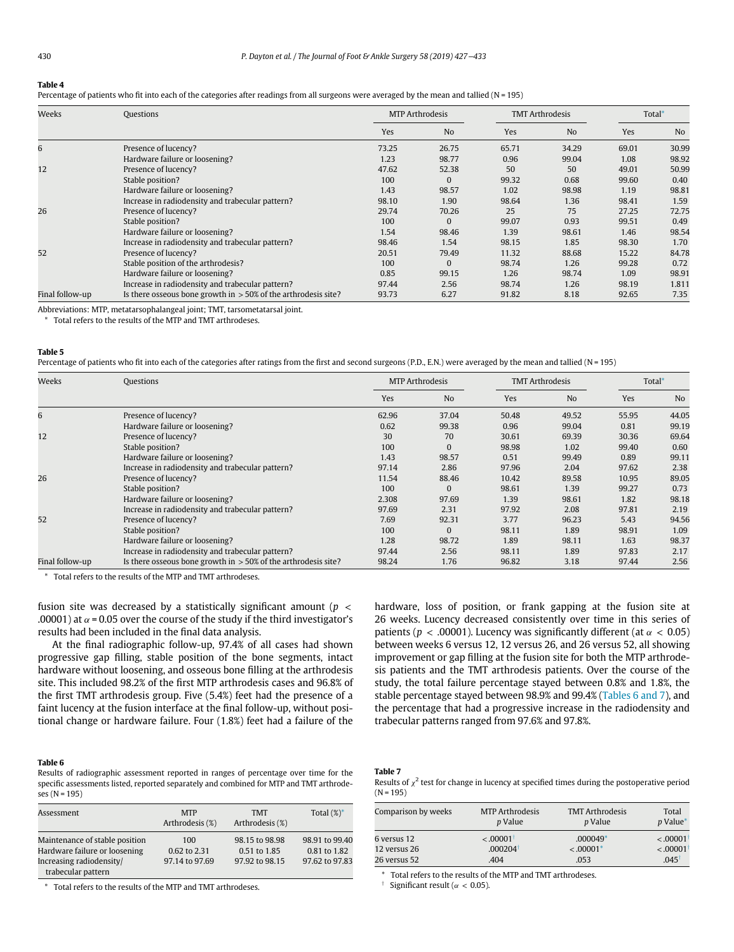#### <span id="page-3-0"></span>Table 4

Percentage of patients who fit into each of the categories after readings from all surgeons were averaged by the mean and tallied (N = 195)

| Weeks           | Questions                                                        | <b>MTP Arthrodesis</b> |                | <b>TMT Arthrodesis</b> |                | Total* |                |
|-----------------|------------------------------------------------------------------|------------------------|----------------|------------------------|----------------|--------|----------------|
|                 |                                                                  | Yes                    | N <sub>o</sub> | Yes                    | N <sub>o</sub> | Yes    | N <sub>0</sub> |
| 6               | Presence of lucency?                                             | 73.25                  | 26.75          | 65.71                  | 34.29          | 69.01  | 30.99          |
|                 | Hardware failure or loosening?                                   | 1.23                   | 98.77          | 0.96                   | 99.04          | 1.08   | 98.92          |
| 12              | Presence of lucency?                                             | 47.62                  | 52.38          | 50                     | 50             | 49.01  | 50.99          |
|                 | Stable position?                                                 | 100                    | $\Omega$       | 99.32                  | 0.68           | 99.60  | 0.40           |
|                 | Hardware failure or loosening?                                   | 1.43                   | 98.57          | 1.02                   | 98.98          | 1.19   | 98.81          |
|                 | Increase in radiodensity and trabecular pattern?                 | 98.10                  | 1.90           | 98.64                  | 1.36           | 98.41  | 1.59           |
| 26              | Presence of lucency?                                             | 29.74                  | 70.26          | 25                     | 75             | 27.25  | 72.75          |
|                 | Stable position?                                                 | 100                    | $\Omega$       | 99.07                  | 0.93           | 99.51  | 0.49           |
|                 | Hardware failure or loosening?                                   | 1.54                   | 98.46          | 1.39                   | 98.61          | 1.46   | 98.54          |
|                 | Increase in radiodensity and trabecular pattern?                 | 98.46                  | 1.54           | 98.15                  | 1.85           | 98.30  | 1.70           |
| 52              | Presence of lucency?                                             | 20.51                  | 79.49          | 11.32                  | 88.68          | 15.22  | 84.78          |
|                 | Stable position of the arthrodesis?                              | 100                    | $\Omega$       | 98.74                  | 1.26           | 99.28  | 0.72           |
|                 | Hardware failure or loosening?                                   | 0.85                   | 99.15          | 1.26                   | 98.74          | 1.09   | 98.91          |
|                 | Increase in radiodensity and trabecular pattern?                 | 97.44                  | 2.56           | 98.74                  | 1.26           | 98.19  | 1.811          |
| Final follow-up | Is there osseous bone growth in $>$ 50% of the arthrodesis site? | 93.73                  | 6.27           | 91.82                  | 8.18           | 92.65  | 7.35           |

<span id="page-3-3"></span>Abbreviations: MTP, metatarsophalangeal joint; TMT, tarsometatarsal joint.

Total refers to the results of the MTP and TMT arthrodeses.

#### <span id="page-3-1"></span>Table 5

Percentage of patients who fit into each of the categories after ratings from the first and second surgeons (P.D., E.N.) were averaged by the mean and tallied (N = 195)

| Weeks           | Questions                                                        | <b>MTP Arthrodesis</b> |                | <b>TMT Arthrodesis</b> |                | Total* |                |
|-----------------|------------------------------------------------------------------|------------------------|----------------|------------------------|----------------|--------|----------------|
|                 |                                                                  | Yes                    | N <sub>o</sub> | Yes                    | N <sub>o</sub> | Yes    | N <sub>0</sub> |
| 6               | Presence of lucency?                                             | 62.96                  | 37.04          | 50.48                  | 49.52          | 55.95  | 44.05          |
|                 | Hardware failure or loosening?                                   | 0.62                   | 99.38          | 0.96                   | 99.04          | 0.81   | 99.19          |
| 12              | Presence of lucency?                                             | 30                     | 70             | 30.61                  | 69.39          | 30.36  | 69.64          |
|                 | Stable position?                                                 | 100                    | $\Omega$       | 98.98                  | 1.02           | 99.40  | 0.60           |
|                 | Hardware failure or loosening?                                   | 1.43                   | 98.57          | 0.51                   | 99.49          | 0.89   | 99.11          |
|                 | Increase in radiodensity and trabecular pattern?                 | 97.14                  | 2.86           | 97.96                  | 2.04           | 97.62  | 2.38           |
| 26              | Presence of lucency?                                             | 11.54                  | 88.46          | 10.42                  | 89.58          | 10.95  | 89.05          |
|                 | Stable position?                                                 | 100                    | $\Omega$       | 98.61                  | 1.39           | 99.27  | 0.73           |
|                 | Hardware failure or loosening?                                   | 2.308                  | 97.69          | 1.39                   | 98.61          | 1.82   | 98.18          |
|                 | Increase in radiodensity and trabecular pattern?                 | 97.69                  | 2.31           | 97.92                  | 2.08           | 97.81  | 2.19           |
| 52              | Presence of lucency?                                             | 7.69                   | 92.31          | 3.77                   | 96.23          | 5.43   | 94.56          |
|                 | Stable position?                                                 | 100                    | $\Omega$       | 98.11                  | 1.89           | 98.91  | 1.09           |
|                 | Hardware failure or loosening?                                   | 1.28                   | 98.72          | 1.89                   | 98.11          | 1.63   | 98.37          |
|                 | Increase in radiodensity and trabecular pattern?                 | 97.44                  | 2.56           | 98.11                  | 1.89           | 97.83  | 2.17           |
| Final follow-up | Is there osseous bone growth in $>$ 50% of the arthrodesis site? | 98.24                  | 1.76           | 96.82                  | 3.18           | 97.44  | 2.56           |

<span id="page-3-4"></span>\* Total refers to the results of the MTP and TMT arthrodeses.

fusion site was decreased by a statistically significant amount ( $p <$ .00001) at  $\alpha$  = 0.05 over the course of the study if the third investigator's results had been included in the final data analysis.

At the final radiographic follow-up, 97.4% of all cases had shown progressive gap filling, stable position of the bone segments, intact hardware without loosening, and osseous bone filling at the arthrodesis site. This included 98.2% of the first MTP arthrodesis cases and 96.8% of the first TMT arthrodesis group. Five (5.4%) feet had the presence of a faint lucency at the fusion interface at the final follow-up, without positional change or hardware failure. Four (1.8%) feet had a failure of the

## <span id="page-3-2"></span>Table 6

Results of radiographic assessment reported in ranges of percentage over time for the specific assessments listed, reported separately and combined for MTP and TMT arthrode $ses (N = 195)$ 

| Assessment                                                                                                        | <b>MTP</b><br>Arthrodesis (%)         | <b>TMT</b><br>Arthrodesis (%)                    | Total $(\%)^*$                                   |
|-------------------------------------------------------------------------------------------------------------------|---------------------------------------|--------------------------------------------------|--------------------------------------------------|
| Maintenance of stable position<br>Hardware failure or loosening<br>Increasing radiodensity/<br>trabecular pattern | 100<br>0.62 to 2.31<br>97.14 to 97.69 | 98.15 to 98.98<br>0.51 to 1.85<br>97.92 to 98.15 | 98.91 to 99.40<br>0.81 to 1.82<br>97.62 to 97.83 |

<span id="page-3-6"></span><span id="page-3-5"></span>\* Total refers to the results of the MTP and TMT arthrodeses.

hardware, loss of position, or frank gapping at the fusion site at 26 weeks. Lucency decreased consistently over time in this series of patients ( $p < .00001$ ). Lucency was significantly different (at  $\alpha < 0.05$ ) between weeks 6 versus 12, 12 versus 26, and 26 versus 52, all showing improvement or gap filling at the fusion site for both the MTP arthrodesis patients and the TMT arthrodesis patients. Over the course of the study, the total failure percentage stayed between 0.8% and 1.8%, the stable percentage stayed between 98.9% and 99.4% [\(Tables 6 and 7\)](#page-3-2), and the percentage that had a progressive increase in the radiodensity and trabecular patterns ranged from 97.6% and 97.8%.

### Table 7

Results of  $\chi^2$  test for change in lucency at specified times during the postoperative period  $(N = 195)$ 

| Comparison by weeks | <b>MTP Arthrodesis</b> | <b>TMT Arthrodesis</b>  | Total            |
|---------------------|------------------------|-------------------------|------------------|
|                     | <i>p</i> Value         | <i>p</i> Value          | p Value*         |
| 6 versus 12         | $< .00001^+$           | $.000049*$              | < .00001         |
| 12 versus 26        | $.000204^{\dagger}$    | $< .00001$ <sup>*</sup> | < .00001         |
| 26 versus 52        | .404                   | .053                    | $.045^{\dagger}$ |

Total refers to the results of the MTP and TMT arthrodeses.

 $\dagger$  Significant result ( $\alpha$  < 0.05).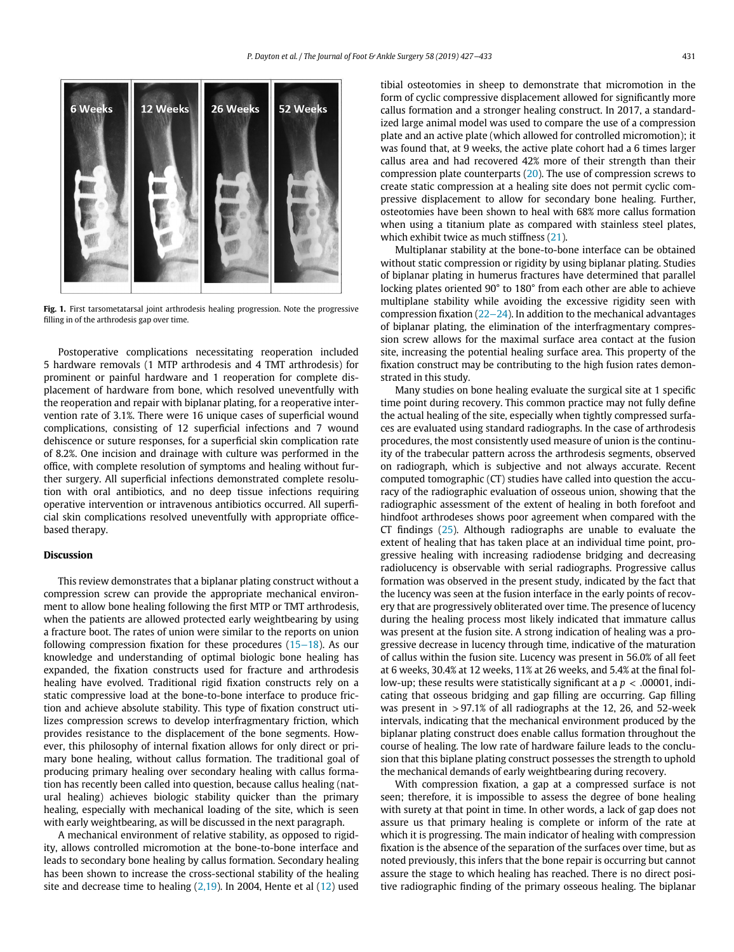

Fig. 1. First tarsometatarsal joint arthrodesis healing progression. Note the progressive filling in of the arthrodesis gap over time.

Postoperative complications necessitating reoperation included 5 hardware removals (1 MTP arthrodesis and 4 TMT arthrodesis) for prominent or painful hardware and 1 reoperation for complete displacement of hardware from bone, which resolved uneventfully with the reoperation and repair with biplanar plating, for a reoperative intervention rate of 3.1%. There were 16 unique cases of superficial wound complications, consisting of 12 superficial infections and 7 wound dehiscence or suture responses, for a superficial skin complication rate of 8.2%. One incision and drainage with culture was performed in the office, with complete resolution of symptoms and healing without further surgery. All superficial infections demonstrated complete resolution with oral antibiotics, and no deep tissue infections requiring operative intervention or intravenous antibiotics occurred. All superficial skin complications resolved uneventfully with appropriate officebased therapy.

### Discussion

This review demonstrates that a biplanar plating construct without a compression screw can provide the appropriate mechanical environment to allow bone healing following the first MTP or TMT arthrodesis, when the patients are allowed protected early weightbearing by using a fracture boot. The rates of union were similar to the reports on union following compression fixation for these procedures [\(15](#page-6-2)−18). As our knowledge and understanding of optimal biologic bone healing has expanded, the fixation constructs used for fracture and arthrodesis healing have evolved. Traditional rigid fixation constructs rely on a static compressive load at the bone-to-bone interface to produce friction and achieve absolute stability. This type of fixation construct utilizes compression screws to develop interfragmentary friction, which provides resistance to the displacement of the bone segments. However, this philosophy of internal fixation allows for only direct or primary bone healing, without callus formation. The traditional goal of producing primary healing over secondary healing with callus formation has recently been called into question, because callus healing (natural healing) achieves biologic stability quicker than the primary healing, especially with mechanical loading of the site, which is seen with early weightbearing, as will be discussed in the next paragraph.

A mechanical environment of relative stability, as opposed to rigidity, allows controlled micromotion at the bone-to-bone interface and leads to secondary bone healing by callus formation. Secondary healing has been shown to increase the cross-sectional stability of the healing site and decrease time to healing ([2,19](#page-5-1)). In 2004, Hente et al [\(12](#page-6-3)) used tibial osteotomies in sheep to demonstrate that micromotion in the form of cyclic compressive displacement allowed for significantly more callus formation and a stronger healing construct. In 2017, a standardized large animal model was used to compare the use of a compression plate and an active plate (which allowed for controlled micromotion); it was found that, at 9 weeks, the active plate cohort had a 6 times larger callus area and had recovered 42% more of their strength than their compression plate counterparts [\(20](#page-6-4)). The use of compression screws to create static compression at a healing site does not permit cyclic compressive displacement to allow for secondary bone healing. Further, osteotomies have been shown to heal with 68% more callus formation when using a titanium plate as compared with stainless steel plates, which exhibit twice as much stiffness ([21\)](#page-6-5).

Multiplanar stability at the bone-to-bone interface can be obtained without static compression or rigidity by using biplanar plating. Studies of biplanar plating in humerus fractures have determined that parallel locking plates oriented 90° to 180° from each other are able to achieve multiplane stability while avoiding the excessive rigidity seen with compression fixation [\(22](#page-6-6)−24). In addition to the mechanical advantages of biplanar plating, the elimination of the interfragmentary compression screw allows for the maximal surface area contact at the fusion site, increasing the potential healing surface area. This property of the fixation construct may be contributing to the high fusion rates demonstrated in this study.

Many studies on bone healing evaluate the surgical site at 1 specific time point during recovery. This common practice may not fully define the actual healing of the site, especially when tightly compressed surfaces are evaluated using standard radiographs. In the case of arthrodesis procedures, the most consistently used measure of union is the continuity of the trabecular pattern across the arthrodesis segments, observed on radiograph, which is subjective and not always accurate. Recent computed tomographic (CT) studies have called into question the accuracy of the radiographic evaluation of osseous union, showing that the radiographic assessment of the extent of healing in both forefoot and hindfoot arthrodeses shows poor agreement when compared with the CT findings [\(25](#page-6-7)). Although radiographs are unable to evaluate the extent of healing that has taken place at an individual time point, progressive healing with increasing radiodense bridging and decreasing radiolucency is observable with serial radiographs. Progressive callus formation was observed in the present study, indicated by the fact that the lucency was seen at the fusion interface in the early points of recovery that are progressively obliterated over time. The presence of lucency during the healing process most likely indicated that immature callus was present at the fusion site. A strong indication of healing was a progressive decrease in lucency through time, indicative of the maturation of callus within the fusion site. Lucency was present in 56.0% of all feet at 6 weeks, 30.4% at 12 weeks, 11% at 26 weeks, and 5.4% at the final follow-up; these results were statistically significant at a  $p < .00001$ , indicating that osseous bridging and gap filling are occurring. Gap filling was present in > 97.1% of all radiographs at the 12, 26, and 52-week intervals, indicating that the mechanical environment produced by the biplanar plating construct does enable callus formation throughout the course of healing. The low rate of hardware failure leads to the conclusion that this biplane plating construct possesses the strength to uphold the mechanical demands of early weightbearing during recovery.

With compression fixation, a gap at a compressed surface is not seen; therefore, it is impossible to assess the degree of bone healing with surety at that point in time. In other words, a lack of gap does not assure us that primary healing is complete or inform of the rate at which it is progressing. The main indicator of healing with compression fixation is the absence of the separation of the surfaces over time, but as noted previously, this infers that the bone repair is occurring but cannot assure the stage to which healing has reached. There is no direct positive radiographic finding of the primary osseous healing. The biplanar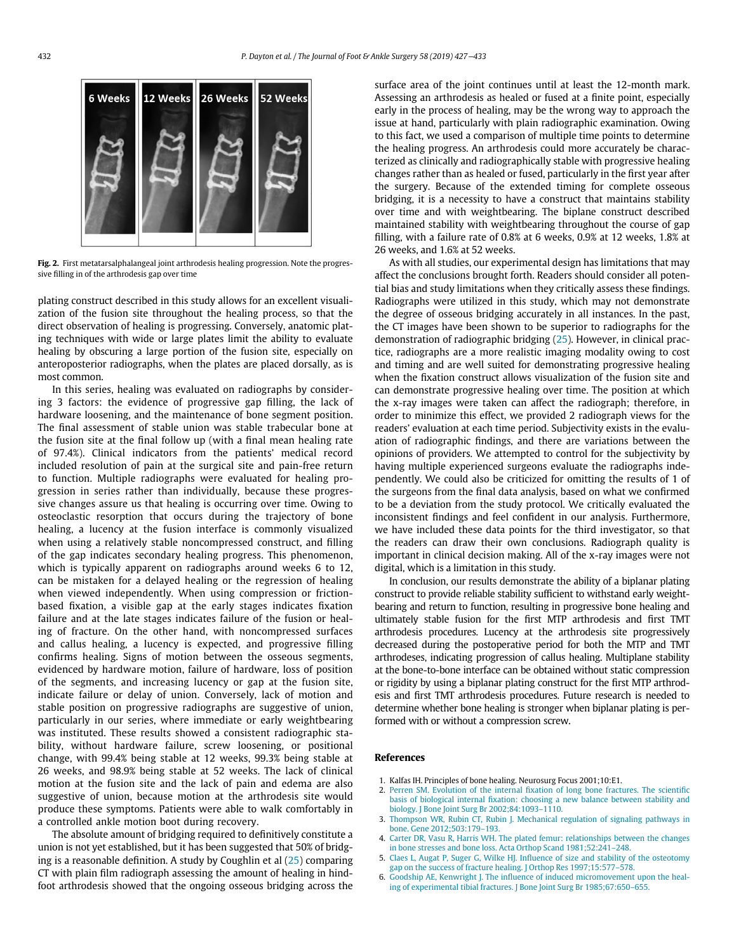6 Weeks 12 Weeks 26 Weeks 52 Weeks

Fig. 2. First metatarsalphalangeal joint arthrodesis healing progression. Note the progressive filling in of the arthrodesis gap over time

plating construct described in this study allows for an excellent visualization of the fusion site throughout the healing process, so that the direct observation of healing is progressing. Conversely, anatomic plating techniques with wide or large plates limit the ability to evaluate healing by obscuring a large portion of the fusion site, especially on anteroposterior radiographs, when the plates are placed dorsally, as is most common.

In this series, healing was evaluated on radiographs by considering 3 factors: the evidence of progressive gap filling, the lack of hardware loosening, and the maintenance of bone segment position. The final assessment of stable union was stable trabecular bone at the fusion site at the final follow up (with a final mean healing rate of 97.4%). Clinical indicators from the patients' medical record included resolution of pain at the surgical site and pain-free return to function. Multiple radiographs were evaluated for healing progression in series rather than individually, because these progressive changes assure us that healing is occurring over time. Owing to osteoclastic resorption that occurs during the trajectory of bone healing, a lucency at the fusion interface is commonly visualized when using a relatively stable noncompressed construct, and filling of the gap indicates secondary healing progress. This phenomenon, which is typically apparent on radiographs around weeks 6 to 12, can be mistaken for a delayed healing or the regression of healing when viewed independently. When using compression or frictionbased fixation, a visible gap at the early stages indicates fixation failure and at the late stages indicates failure of the fusion or healing of fracture. On the other hand, with noncompressed surfaces and callus healing, a lucency is expected, and progressive filling confirms healing. Signs of motion between the osseous segments, evidenced by hardware motion, failure of hardware, loss of position of the segments, and increasing lucency or gap at the fusion site, indicate failure or delay of union. Conversely, lack of motion and stable position on progressive radiographs are suggestive of union, particularly in our series, where immediate or early weightbearing was instituted. These results showed a consistent radiographic stability, without hardware failure, screw loosening, or positional change, with 99.4% being stable at 12 weeks, 99.3% being stable at 26 weeks, and 98.9% being stable at 52 weeks. The lack of clinical motion at the fusion site and the lack of pain and edema are also suggestive of union, because motion at the arthrodesis site would produce these symptoms. Patients were able to walk comfortably in a controlled ankle motion boot during recovery.

<span id="page-5-4"></span><span id="page-5-3"></span><span id="page-5-2"></span><span id="page-5-1"></span><span id="page-5-0"></span>The absolute amount of bridging required to definitively constitute a union is not yet established, but it has been suggested that 50% of bridging is a reasonable definition. A study by Coughlin et al  $(25)$  $(25)$  comparing CT with plain film radiograph assessing the amount of healing in hindfoot arthrodesis showed that the ongoing osseous bridging across the surface area of the joint continues until at least the 12-month mark. Assessing an arthrodesis as healed or fused at a finite point, especially early in the process of healing, may be the wrong way to approach the issue at hand, particularly with plain radiographic examination. Owing to this fact, we used a comparison of multiple time points to determine the healing progress. An arthrodesis could more accurately be characterized as clinically and radiographically stable with progressive healing changes rather than as healed or fused, particularly in the first year after the surgery. Because of the extended timing for complete osseous bridging, it is a necessity to have a construct that maintains stability over time and with weightbearing. The biplane construct described maintained stability with weightbearing throughout the course of gap filling, with a failure rate of 0.8% at 6 weeks, 0.9% at 12 weeks, 1.8% at 26 weeks, and 1.6% at 52 weeks.

As with all studies, our experimental design has limitations that may affect the conclusions brought forth. Readers should consider all potential bias and study limitations when they critically assess these findings. Radiographs were utilized in this study, which may not demonstrate the degree of osseous bridging accurately in all instances. In the past, the CT images have been shown to be superior to radiographs for the demonstration of radiographic bridging [\(25\)](#page-6-7). However, in clinical practice, radiographs are a more realistic imaging modality owing to cost and timing and are well suited for demonstrating progressive healing when the fixation construct allows visualization of the fusion site and can demonstrate progressive healing over time. The position at which the x-ray images were taken can affect the radiograph; therefore, in order to minimize this effect, we provided 2 radiograph views for the readers' evaluation at each time period. Subjectivity exists in the evaluation of radiographic findings, and there are variations between the opinions of providers. We attempted to control for the subjectivity by having multiple experienced surgeons evaluate the radiographs independently. We could also be criticized for omitting the results of 1 of the surgeons from the final data analysis, based on what we confirmed to be a deviation from the study protocol. We critically evaluated the inconsistent findings and feel confident in our analysis. Furthermore, we have included these data points for the third investigator, so that the readers can draw their own conclusions. Radiograph quality is important in clinical decision making. All of the x-ray images were not digital, which is a limitation in this study.

In conclusion, our results demonstrate the ability of a biplanar plating construct to provide reliable stability sufficient to withstand early weightbearing and return to function, resulting in progressive bone healing and ultimately stable fusion for the first MTP arthrodesis and first TMT arthrodesis procedures. Lucency at the arthrodesis site progressively decreased during the postoperative period for both the MTP and TMT arthrodeses, indicating progression of callus healing. Multiplane stability at the bone-to-bone interface can be obtained without static compression or rigidity by using a biplanar plating construct for the first MTP arthrodesis and first TMT arthrodesis procedures. Future research is needed to determine whether bone healing is stronger when biplanar plating is performed with or without a compression screw.

#### References

- 1. Kalfas IH. Principles of bone healing. Neurosurg Focus 2001;10:E1.
- 2. Perren SM. Evolution of the internal fi[xation of long bone fractures. The scienti](http://refhub.elsevier.com/S1067-2516(18)30405-8/sbref0002)fic basis of biological internal fi[xation: choosing a new balance between stability and](http://refhub.elsevier.com/S1067-2516(18)30405-8/sbref0002) [biology. J Bone Joint Surg Br 2002;84:1093](http://refhub.elsevier.com/S1067-2516(18)30405-8/sbref0002)–1110.
- 3. [Thompson WR, Rubin CT, Rubin J. Mechanical regulation of signaling pathways in](http://refhub.elsevier.com/S1067-2516(18)30405-8/sbref0003) [bone. Gene 2012;503:179](http://refhub.elsevier.com/S1067-2516(18)30405-8/sbref0003)–193.
- 4. [Carter DR, Vasu R, Harris WH. The plated femur: relationships between the changes](http://refhub.elsevier.com/S1067-2516(18)30405-8/sbref0004) [in bone stresses and bone loss. Acta Orthop Scand 1981;52:241](http://refhub.elsevier.com/S1067-2516(18)30405-8/sbref0004)–248.
- 5. Claes L, Augat P, Suger G, Wilke HJ. Infl[uence of size and stability of the osteotomy](http://refhub.elsevier.com/S1067-2516(18)30405-8/sbref0005) [gap on the success of fracture healing. J Orthop Res 1997;15:577](http://refhub.elsevier.com/S1067-2516(18)30405-8/sbref0005)–578.
- 6. Goodship AE, Kenwright J. The infl[uence of induced micromovement upon the heal](http://refhub.elsevier.com/S1067-2516(18)30405-8/sbref0006)[ing of experimental tibial fractures. J Bone Joint Surg Br 1985;67:650](http://refhub.elsevier.com/S1067-2516(18)30405-8/sbref0006)–655.